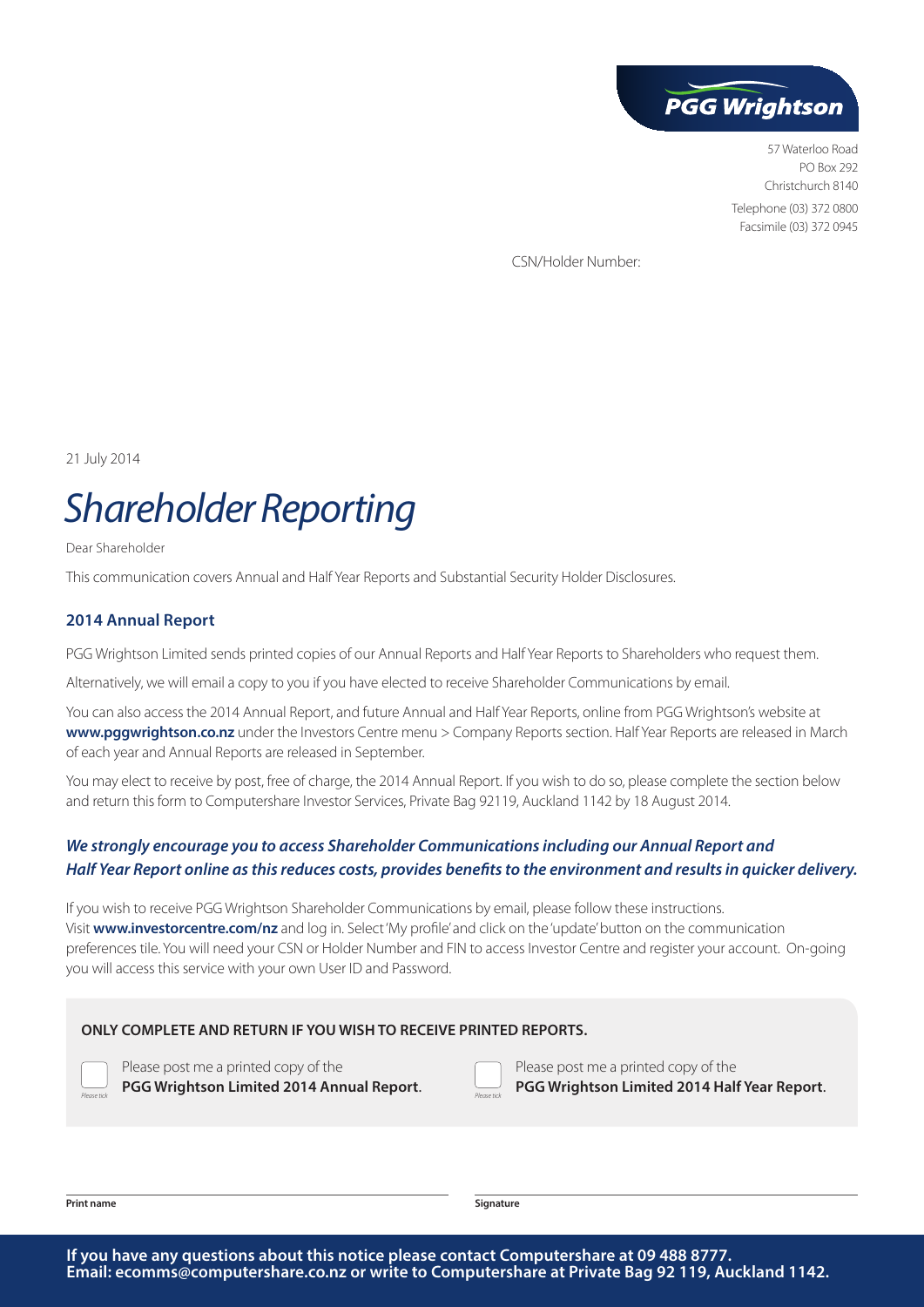

57 Waterloo Road PO Box 292 Christchurch 8140 Telephone (03) 372 0800 Facsimile (03) 372 0945

CSN/Holder Number:

21 July 2014

# *Shareholder Reporting*

Dear Shareholder

This communication covers Annual and Half Year Reports and Substantial Security Holder Disclosures.

#### **2014 Annual Report**

PGG Wrightson Limited sends printed copies of our Annual Reports and Half Year Reports to Shareholders who request them.

Alternatively, we will email a copy to you if you have elected to receive Shareholder Communications by email.

You can also access the 2014 Annual Report, and future Annual and Half Year Reports, online from PGG Wrightson's website at **www.pggwrightson.co.nz** under the Investors Centre menu > Company Reports section. Half Year Reports are released in March of each year and Annual Reports are released in September.

You may elect to receive by post, free of charge, the 2014 Annual Report. If you wish to do so, please complete the section below and return this form to Computershare Investor Services, Private Bag 92119, Auckland 1142 by 18 August 2014.

## *We strongly encourage you to access Shareholder Communications including our Annual Report and Half Year Report online as this reduces costs, provides benefits to the environment and results in quicker delivery.*

If you wish to receive PGG Wrightson Shareholder Communications by email, please follow these instructions. Visit **www.investorcentre.com/nz** and log in. Select 'My profile' and click on the 'update' button on the communication preferences tile. You will need your CSN or Holder Number and FIN to access Investor Centre and register your account. On-going you will access this service with your own User ID and Password.

#### **ONLY COMPLETE AND RETURN IF YOU WISH TO RECEIVE PRINTED REPORTS.**

Please post me a printed copy of the **PGG Wrightson Limited 2014 Annual Report.** 

Please post me a printed copy of the **PGG Wrightson Limited 2014 Half Year Report**.

**Print name Signature**